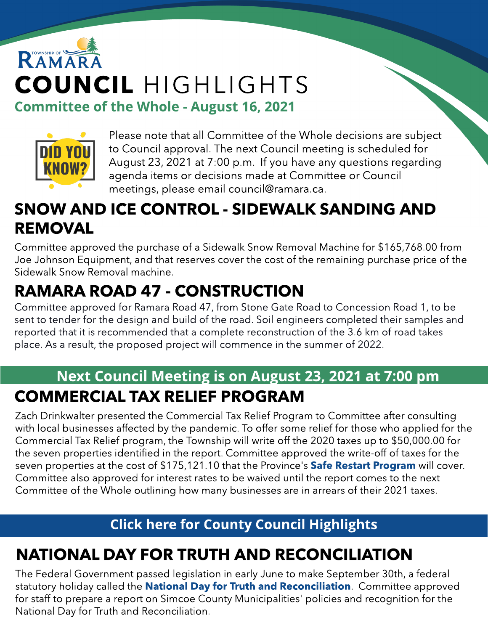



Please note that all Committee of the Whole decisions are subject to Council approval. The next Council meeting is scheduled for August 23, 2021 at 7:00 p.m. If you have any questions regarding agenda items or decisions made at Committee or Council meetings, please email council@ramara.ca.

### SNOW AND ICE CONTROL - SIDEWALK SANDING AND **REMOVAL**

Committee approved the purchase of a Sidewalk Snow Removal Machine for \$165,768.00 from Joe Johnson Equipment, and that reserves cover the cost of the remaining purchase price of the Sidewalk Snow Removal machine.

## RAMARA ROAD 47 - CONSTRUCTION

Committee approved for Ramara Road 47, from Stone Gate Road to Concession Road 1, to be sent to tender for the design and build of the road. Soil engineers completed their samples and reported that it is recommended that a complete reconstruction of the 3.6 km of road takes place. As a result, the proposed project will commence in the summer of 2022.

#### Next Council Meeting is on August 23, 2021 at 7:00 pm COMMERCIAL TAX RELIEF PROGRAM

Zach Drinkwalter presented the Commercial Tax Relief Program to Committee after consulting with local businesses affected by the pandemic. To offer some relief for those who applied for the Commercial Tax Relief program, the Township will write off the 2020 taxes up to \$50,000.00 for the seven properties identified in the report. Committee approved the write-off of taxes for the seven properties at the cost of \$175,121.10 that the Province's **[Safe](https://news.ontario.ca/en/release/57970/ontario-providing-municipalities-with-up-to-16-billion-in-first-round-of-emergency-funding) [Restart](https://news.ontario.ca/en/release/57970/ontario-providing-municipalities-with-up-to-16-billion-in-first-round-of-emergency-funding) [Program](https://news.ontario.ca/en/release/57970/ontario-providing-municipalities-with-up-to-16-billion-in-first-round-of-emergency-funding)** will cover. Committee also approved for interest rates to be waived until the report comes to the next Committee of the Whole outlining how many businesses are in arrears of their 2021 taxes.

#### **[Click](https://www.simcoe.ca/dpt/ccd/newsletters) [here](https://www.simcoe.ca/dpt/ccd/newsletters) [for](https://www.simcoe.ca/dpt/ccd/newsletters) [Count](https://www.simcoe.ca/dpt/ccd/newsletters)y [Council](https://www.simcoe.ca/dpt/ccd/newsletters) [Highlight](https://www.simcoe.ca/dpt/ccd/newsletters)s**

## NATIONAL DAY FOR TRUTH AND RECONCILIATION

The Federal Government passed legislation in early June to make September 30th, a federal statutory holiday called the [National](https://www.canada.ca/en/department-national-defence/maple-leaf/defence/2021/07/federal-statutory-holiday-national-day-for-truth-and-reconciliation.html) [Day](https://www.canada.ca/en/department-national-defence/maple-leaf/defence/2021/07/federal-statutory-holiday-national-day-for-truth-and-reconciliation.html) [for](https://www.canada.ca/en/department-national-defence/maple-leaf/defence/2021/07/federal-statutory-holiday-national-day-for-truth-and-reconciliation.html) [Truth](https://www.canada.ca/en/department-national-defence/maple-leaf/defence/2021/07/federal-statutory-holiday-national-day-for-truth-and-reconciliation.html) [and](https://www.canada.ca/en/department-national-defence/maple-leaf/defence/2021/07/federal-statutory-holiday-national-day-for-truth-and-reconciliation.html) [Reconciliation](https://www.canada.ca/en/department-national-defence/maple-leaf/defence/2021/07/federal-statutory-holiday-national-day-for-truth-and-reconciliation.html). Committee approved for staff to prepare a report on Simcoe County Municipalities' policies and recognition for the National Day for Truth and Reconciliation.